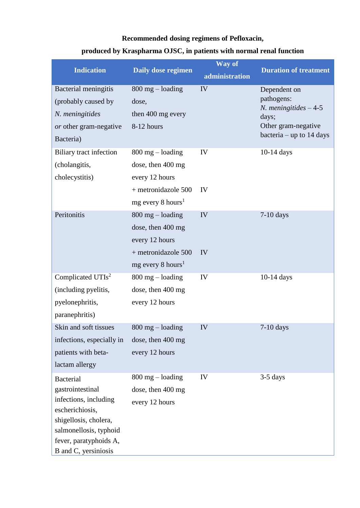## **Recommended dosing regimens of Pefloxacin,**

## **produced by Kraspharma OJSC, in patients with normal renal function**

| <b>Indication</b>                                                                                                                                                                     | Daily dose regimen                                                                                                    | Way of<br>administration | <b>Duration of treatment</b>                                                                                            |
|---------------------------------------------------------------------------------------------------------------------------------------------------------------------------------------|-----------------------------------------------------------------------------------------------------------------------|--------------------------|-------------------------------------------------------------------------------------------------------------------------|
| Bacterial meningitis<br>(probably caused by<br>N. meningitides<br>or other gram-negative<br>Bacteria)                                                                                 | $800$ mg $-$ loading<br>dose,<br>then 400 mg every<br>8-12 hours                                                      | IV                       | Dependent on<br>pathogens:<br><i>N.</i> meningitides $-4-5$<br>days;<br>Other gram-negative<br>bacteria – up to 14 days |
| Biliary tract infection<br>(cholangitis,<br>cholecystitis)                                                                                                                            | $800$ mg $-$ loading<br>dose, then 400 mg<br>every 12 hours<br>+ metronidazole 500<br>$mg$ every 8 hours <sup>1</sup> | IV<br>IV                 | 10-14 days                                                                                                              |
| Peritonitis                                                                                                                                                                           | $800$ mg $-$ loading<br>dose, then 400 mg<br>every 12 hours<br>+ metronidazole 500<br>mg every 8 hours <sup>1</sup>   | IV<br>IV                 | $7-10$ days                                                                                                             |
| Complicated UTIs <sup>2</sup><br>(including pyelitis,<br>pyelonephritis,<br>paranephritis)                                                                                            | $800$ mg $-$ loading<br>dose, then 400 mg<br>every 12 hours                                                           | IV                       | $10-14$ days                                                                                                            |
| Skin and soft tissues<br>infections, especially in<br>patients with beta-<br>lactam allergy                                                                                           | $800$ mg $-$ loading<br>dose, then 400 mg<br>every 12 hours                                                           | IV                       | $7-10$ days                                                                                                             |
| <b>Bacterial</b><br>gastrointestinal<br>infections, including<br>escherichiosis,<br>shigellosis, cholera,<br>salmonellosis, typhoid<br>fever, paratyphoids A,<br>B and C, yersiniosis | $800$ mg $-$ loading<br>dose, then 400 mg<br>every 12 hours                                                           | IV                       | $3-5$ days                                                                                                              |